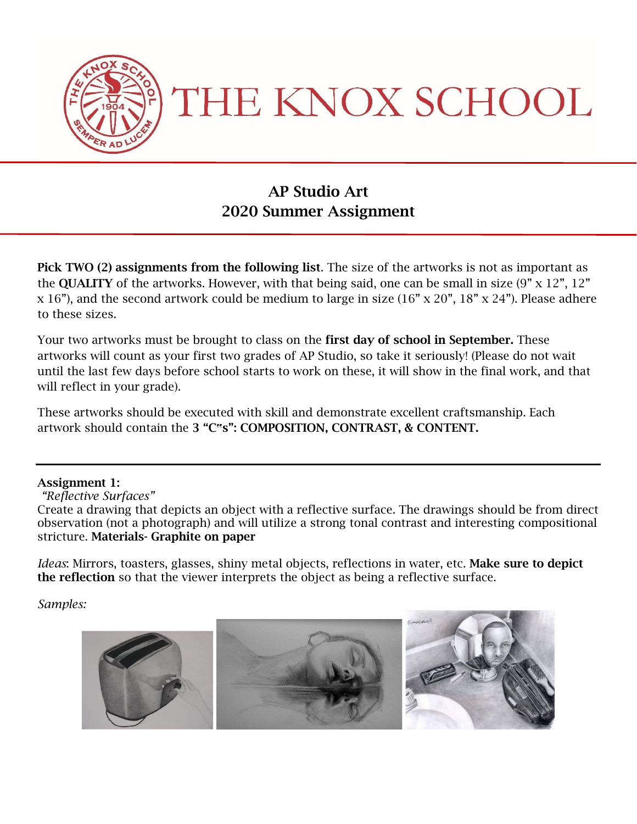

THE KNOX SCHOOL

# AP Studio Art 2020 Summer Assignment

Pick TWO (2) assignments from the following list. The size of the artworks is not as important as the **QUALITY** of the artworks. However, with that being said, one can be small in size  $(9'' \times 12''$ ,  $12''$ x 16"), and the second artwork could be medium to large in size (16" x 20", 18" x 24"). Please adhere to these sizes.

Your two artworks must be brought to class on the first day of school in September. These artworks will count as your first two grades of AP Studio, so take it seriously! (Please do not wait until the last few days before school starts to work on these, it will show in the final work, and that will reflect in your grade).

These artworks should be executed with skill and demonstrate excellent craftsmanship. Each artwork should contain the 3 "C**"**s": COMPOSITION, CONTRAST, & CONTENT.

### Assignment 1:

*"Reflective Surfaces"*

Create a drawing that depicts an object with a reflective surface. The drawings should be from direct observation (not a photograph) and will utilize a strong tonal contrast and interesting compositional stricture. Materials- Graphite on paper

*Ideas*: Mirrors, toasters, glasses, shiny metal objects, reflections in water, etc. Make sure to depict the reflection so that the viewer interprets the object as being a reflective surface.

*Samples:*

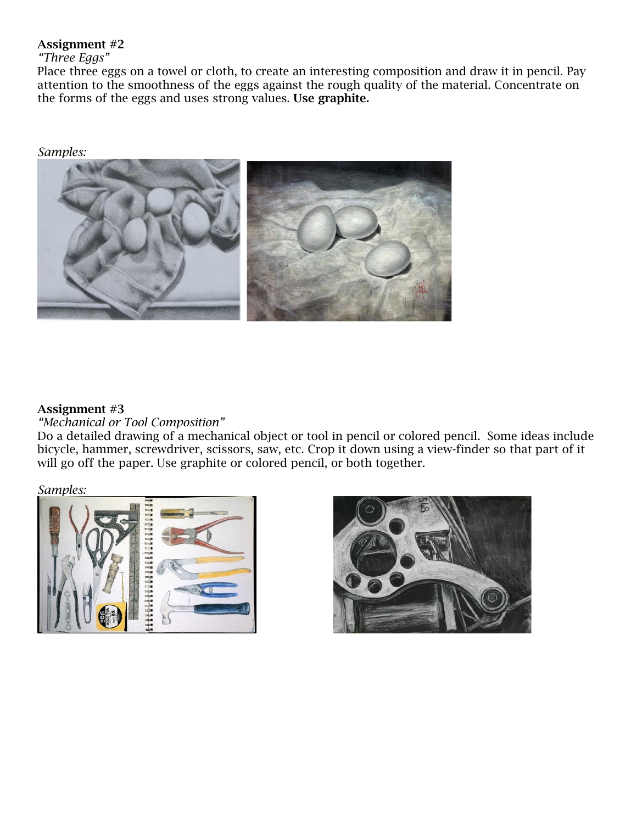### Assignment #2

## *"Three Eggs"*

Place three eggs on a towel or cloth, to create an interesting composition and draw it in pencil. Pay attention to the smoothness of the eggs against the rough quality of the material. Concentrate on the forms of the eggs and uses strong values. Use graphite.

*Samples:*



### Assignment #3

*"Mechanical or Tool Composition"*

Do a detailed drawing of a mechanical object or tool in pencil or colored pencil. Some ideas include bicycle, hammer, screwdriver, scissors, saw, etc. Crop it down using a view-finder so that part of it will go off the paper. Use graphite or colored pencil, or both together.

*Samples:*



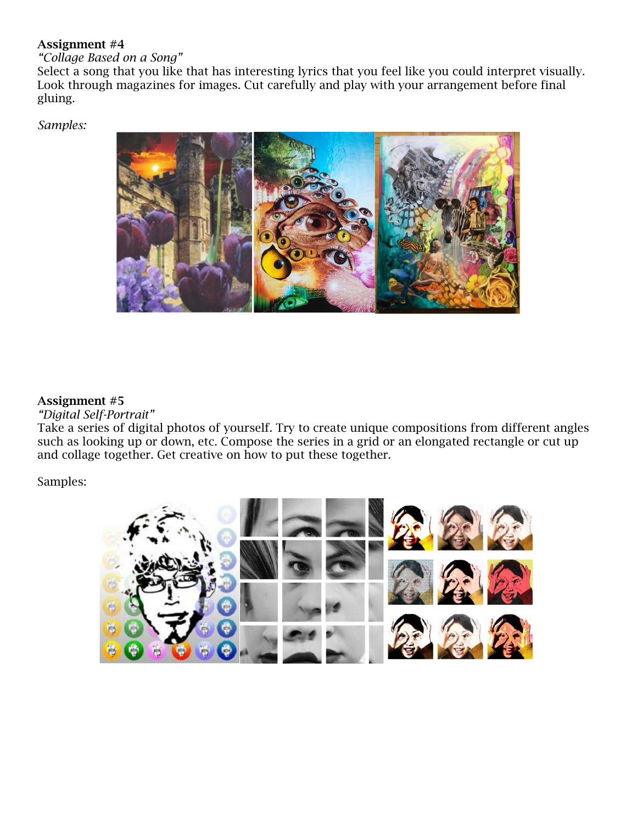### Assignment #4

# *"Collage Based on a Song"*

Select a song that you like that has interesting lyrics that you feel like you could interpret visually. Look through magazines for images. Cut carefully and play with your arrangement before final gluing.

*Samples:*



### Assignment #5

#### *"Digital Self-Portrait"*

Take a series of digital photos of yourself. Try to create unique compositions from different angles such as looking up or down, etc. Compose the series in a grid or an elongated rectangle or cut up and collage together. Get creative on how to put these together.

Samples:

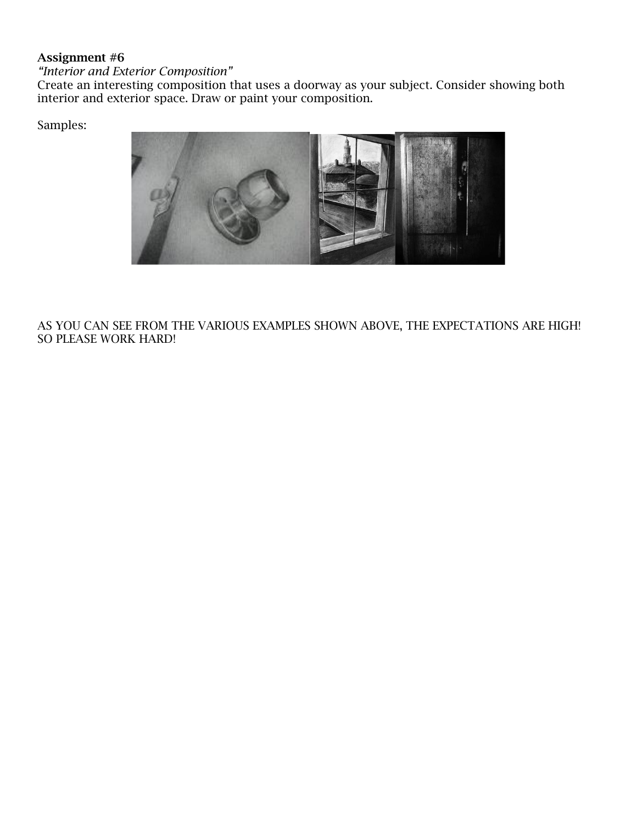### Assignment #6

*"Interior and Exterior Composition"* 

Create an interesting composition that uses a doorway as your subject. Consider showing both interior and exterior space. Draw or paint your composition.

Samples:



AS YOU CAN SEE FROM THE VARIOUS EXAMPLES SHOWN ABOVE, THE EXPECTATIONS ARE HIGH! SO PLEASE WORK HARD!